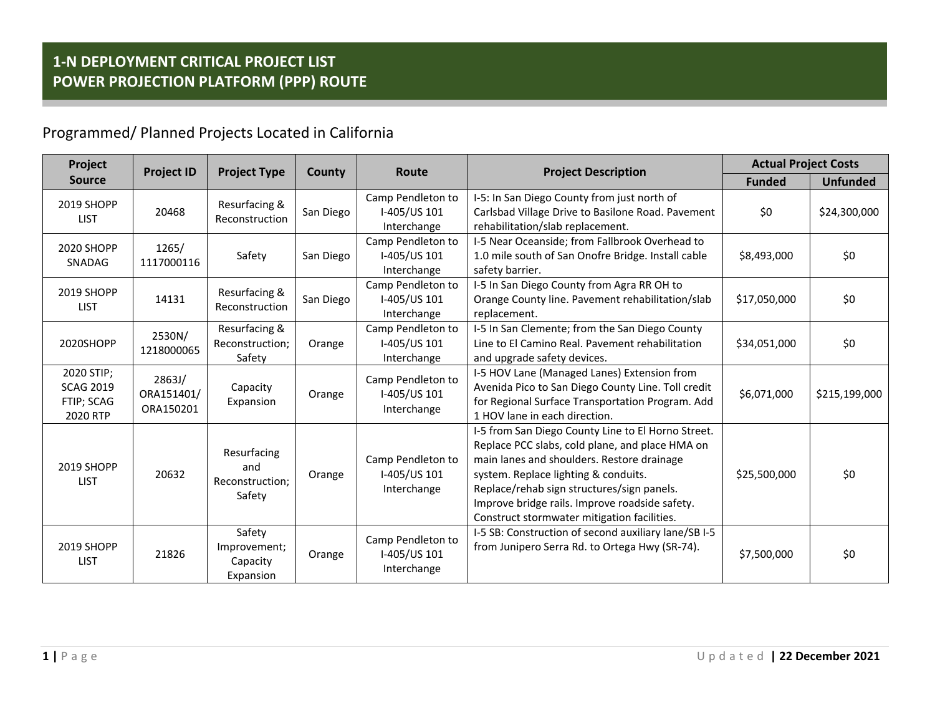Programmed/ Planned Projects Located in California

| Project                                                  | <b>Project ID</b><br><b>Project Type</b> |                                                 | County    | Route                                            | <b>Project Description</b>                                                                                                                                                                                                                                                                                                                 | <b>Actual Project Costs</b> |                 |
|----------------------------------------------------------|------------------------------------------|-------------------------------------------------|-----------|--------------------------------------------------|--------------------------------------------------------------------------------------------------------------------------------------------------------------------------------------------------------------------------------------------------------------------------------------------------------------------------------------------|-----------------------------|-----------------|
| <b>Source</b>                                            |                                          |                                                 |           |                                                  |                                                                                                                                                                                                                                                                                                                                            | <b>Funded</b>               | <b>Unfunded</b> |
| 2019 SHOPP<br><b>LIST</b>                                | 20468                                    | Resurfacing &<br>Reconstruction                 | San Diego | Camp Pendleton to<br>I-405/US 101<br>Interchange | I-5: In San Diego County from just north of<br>Carlsbad Village Drive to Basilone Road. Pavement<br>rehabilitation/slab replacement.                                                                                                                                                                                                       | \$0                         | \$24,300,000    |
| 2020 SHOPP<br>SNADAG                                     | 1265/<br>1117000116                      | Safety                                          | San Diego | Camp Pendleton to<br>I-405/US 101<br>Interchange | I-5 Near Oceanside; from Fallbrook Overhead to<br>1.0 mile south of San Onofre Bridge. Install cable<br>safety barrier.                                                                                                                                                                                                                    | \$8,493,000                 | \$0             |
| 2019 SHOPP<br><b>LIST</b>                                | 14131                                    | Resurfacing &<br>Reconstruction                 | San Diego | Camp Pendleton to<br>I-405/US 101<br>Interchange | I-5 In San Diego County from Agra RR OH to<br>Orange County line. Pavement rehabilitation/slab<br>replacement.                                                                                                                                                                                                                             | \$17,050,000                | \$0             |
| 2020SHOPP                                                | 2530N/<br>1218000065                     | Resurfacing &<br>Reconstruction;<br>Safety      | Orange    | Camp Pendleton to<br>I-405/US 101<br>Interchange | I-5 In San Clemente; from the San Diego County<br>Line to El Camino Real. Pavement rehabilitation<br>and upgrade safety devices.                                                                                                                                                                                                           | \$34,051,000                | \$0             |
| 2020 STIP;<br><b>SCAG 2019</b><br>FTIP; SCAG<br>2020 RTP | 2863J/<br>ORA151401/<br>ORA150201        | Capacity<br>Expansion                           | Orange    | Camp Pendleton to<br>I-405/US 101<br>Interchange | I-5 HOV Lane (Managed Lanes) Extension from<br>Avenida Pico to San Diego County Line. Toll credit<br>for Regional Surface Transportation Program. Add<br>1 HOV lane in each direction.                                                                                                                                                     | \$6,071,000                 | \$215,199,000   |
| 2019 SHOPP<br><b>LIST</b>                                | 20632                                    | Resurfacing<br>and<br>Reconstruction;<br>Safety | Orange    | Camp Pendleton to<br>I-405/US 101<br>Interchange | I-5 from San Diego County Line to El Horno Street.<br>Replace PCC slabs, cold plane, and place HMA on<br>main lanes and shoulders. Restore drainage<br>system. Replace lighting & conduits.<br>Replace/rehab sign structures/sign panels.<br>Improve bridge rails. Improve roadside safety.<br>Construct stormwater mitigation facilities. | \$25,500,000                | \$0             |
| 2019 SHOPP<br><b>LIST</b>                                | 21826                                    | Safety<br>Improvement;<br>Capacity<br>Expansion | Orange    | Camp Pendleton to<br>I-405/US 101<br>Interchange | I-5 SB: Construction of second auxiliary lane/SB I-5<br>from Junipero Serra Rd. to Ortega Hwy (SR-74).                                                                                                                                                                                                                                     | \$7,500,000                 | \$0             |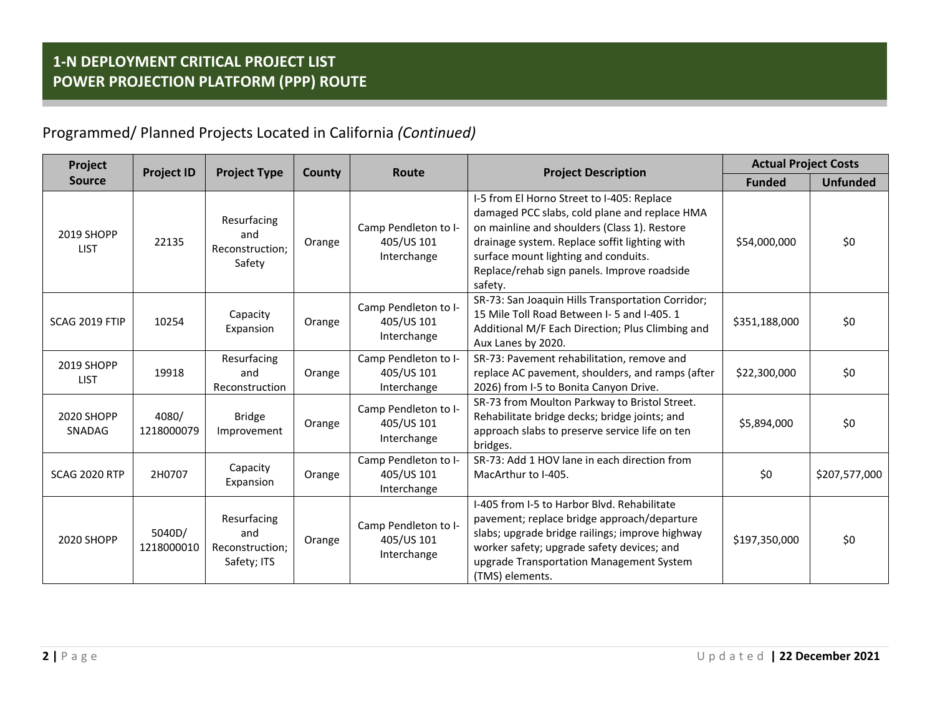| Project                   | <b>Project ID</b><br><b>Project Type</b> |                                                      | Route<br>County | <b>Project Description</b>                        | <b>Actual Project Costs</b>                                                                                                                                                                                                                                                                    |               |                 |
|---------------------------|------------------------------------------|------------------------------------------------------|-----------------|---------------------------------------------------|------------------------------------------------------------------------------------------------------------------------------------------------------------------------------------------------------------------------------------------------------------------------------------------------|---------------|-----------------|
| <b>Source</b>             |                                          |                                                      |                 |                                                   |                                                                                                                                                                                                                                                                                                | <b>Funded</b> | <b>Unfunded</b> |
| 2019 SHOPP<br><b>LIST</b> | 22135                                    | Resurfacing<br>and<br>Reconstruction:<br>Safety      | Orange          | Camp Pendleton to I-<br>405/US 101<br>Interchange | I-5 from El Horno Street to I-405: Replace<br>damaged PCC slabs, cold plane and replace HMA<br>on mainline and shoulders (Class 1). Restore<br>drainage system. Replace soffit lighting with<br>surface mount lighting and conduits.<br>Replace/rehab sign panels. Improve roadside<br>safety. | \$54,000,000  | \$0             |
| SCAG 2019 FTIP            | 10254                                    | Capacity<br>Expansion                                | Orange          | Camp Pendleton to I-<br>405/US 101<br>Interchange | SR-73: San Joaquin Hills Transportation Corridor;<br>15 Mile Toll Road Between I-5 and I-405, 1<br>Additional M/F Each Direction; Plus Climbing and<br>Aux Lanes by 2020.                                                                                                                      | \$351,188,000 | \$0             |
| 2019 SHOPP<br><b>LIST</b> | 19918                                    | Resurfacing<br>and<br>Reconstruction                 | Orange          | Camp Pendleton to I-<br>405/US 101<br>Interchange | SR-73: Pavement rehabilitation, remove and<br>replace AC pavement, shoulders, and ramps (after<br>2026) from I-5 to Bonita Canyon Drive.                                                                                                                                                       | \$22,300,000  | \$0             |
| 2020 SHOPP<br>SNADAG      | 4080/<br>1218000079                      | <b>Bridge</b><br>Improvement                         | Orange          | Camp Pendleton to I-<br>405/US 101<br>Interchange | SR-73 from Moulton Parkway to Bristol Street.<br>Rehabilitate bridge decks; bridge joints; and<br>approach slabs to preserve service life on ten<br>bridges.                                                                                                                                   | \$5,894,000   | \$0             |
| <b>SCAG 2020 RTP</b>      | 2H0707                                   | Capacity<br>Expansion                                | Orange          | Camp Pendleton to I-<br>405/US 101<br>Interchange | SR-73: Add 1 HOV lane in each direction from<br>MacArthur to I-405.                                                                                                                                                                                                                            | \$0           | \$207,577,000   |
| 2020 SHOPP                | 5040D/<br>1218000010                     | Resurfacing<br>and<br>Reconstruction:<br>Safety; ITS | Orange          | Camp Pendleton to I-<br>405/US 101<br>Interchange | I-405 from I-5 to Harbor Blvd. Rehabilitate<br>pavement; replace bridge approach/departure<br>slabs; upgrade bridge railings; improve highway<br>worker safety; upgrade safety devices; and<br>upgrade Transportation Management System<br>(TMS) elements.                                     | \$197,350,000 | \$0             |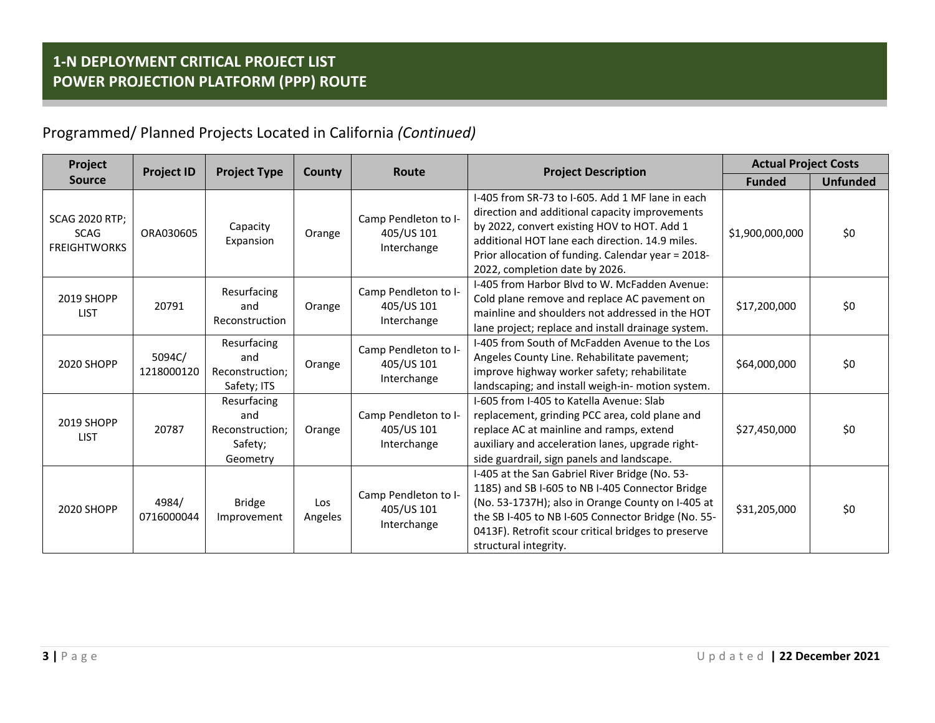| Project                                                     | <b>Project ID</b><br><b>Project Type</b> |                                                              | <b>County</b>  | Route                                             | <b>Project Description</b>                                                                                                                                                                                                                                                                   | <b>Actual Project Costs</b> |                 |
|-------------------------------------------------------------|------------------------------------------|--------------------------------------------------------------|----------------|---------------------------------------------------|----------------------------------------------------------------------------------------------------------------------------------------------------------------------------------------------------------------------------------------------------------------------------------------------|-----------------------------|-----------------|
| <b>Source</b>                                               |                                          |                                                              |                |                                                   |                                                                                                                                                                                                                                                                                              | <b>Funded</b>               | <b>Unfunded</b> |
| <b>SCAG 2020 RTP;</b><br><b>SCAG</b><br><b>FREIGHTWORKS</b> | ORA030605                                | Capacity<br>Expansion                                        | Orange         | Camp Pendleton to I-<br>405/US 101<br>Interchange | 1-405 from SR-73 to 1-605. Add 1 MF lane in each<br>direction and additional capacity improvements<br>by 2022, convert existing HOV to HOT. Add 1<br>additional HOT lane each direction, 14.9 miles.<br>Prior allocation of funding. Calendar year = 2018-<br>2022, completion date by 2026. | \$1,900,000,000             | \$0             |
| 2019 SHOPP<br><b>LIST</b>                                   | 20791                                    | Resurfacing<br>and<br>Reconstruction                         | Orange         | Camp Pendleton to I-<br>405/US 101<br>Interchange | I-405 from Harbor Blyd to W. McFadden Avenue:<br>Cold plane remove and replace AC pavement on<br>mainline and shoulders not addressed in the HOT<br>lane project; replace and install drainage system.                                                                                       | \$17,200,000                | \$0             |
| 2020 SHOPP                                                  | 5094C/<br>1218000120                     | Resurfacing<br>and<br>Reconstruction:<br>Safety; ITS         | Orange         | Camp Pendleton to I-<br>405/US 101<br>Interchange | I-405 from South of McFadden Avenue to the Los<br>Angeles County Line. Rehabilitate pavement;<br>improve highway worker safety; rehabilitate<br>landscaping; and install weigh-in- motion system.                                                                                            | \$64,000,000                | \$0             |
| 2019 SHOPP<br><b>LIST</b>                                   | 20787                                    | Resurfacing<br>and<br>Reconstruction:<br>Safety;<br>Geometry | Orange         | Camp Pendleton to I-<br>405/US 101<br>Interchange | I-605 from I-405 to Katella Avenue: Slab<br>replacement, grinding PCC area, cold plane and<br>replace AC at mainline and ramps, extend<br>auxiliary and acceleration lanes, upgrade right-<br>side guardrail, sign panels and landscape.                                                     | \$27,450,000                | \$0             |
| 2020 SHOPP                                                  | 4984/<br>0716000044                      | <b>Bridge</b><br>Improvement                                 | Los<br>Angeles | Camp Pendleton to I-<br>405/US 101<br>Interchange | I-405 at the San Gabriel River Bridge (No. 53-<br>1185) and SB I-605 to NB I-405 Connector Bridge<br>(No. 53-1737H); also in Orange County on I-405 at<br>the SB I-405 to NB I-605 Connector Bridge (No. 55-<br>0413F). Retrofit scour critical bridges to preserve<br>structural integrity. | \$31,205,000                | \$0             |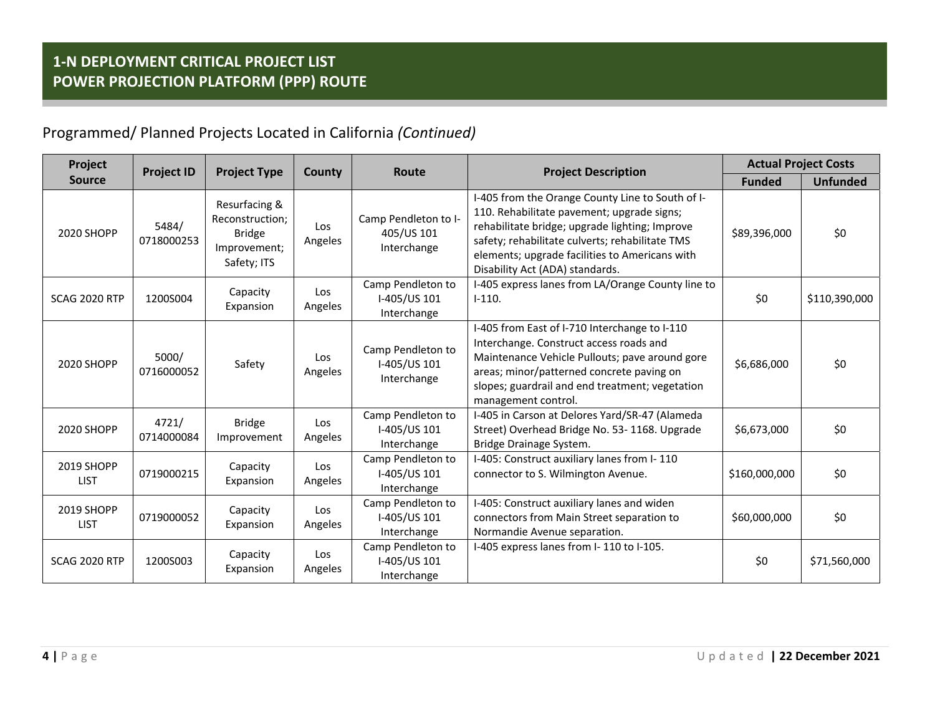| Project                   | <b>Project ID</b><br><b>Project Type</b> |                                                                                  | County                | Route                                             | <b>Project Description</b>                                                                                                                                                                                                                                                               | <b>Actual Project Costs</b> |                 |
|---------------------------|------------------------------------------|----------------------------------------------------------------------------------|-----------------------|---------------------------------------------------|------------------------------------------------------------------------------------------------------------------------------------------------------------------------------------------------------------------------------------------------------------------------------------------|-----------------------------|-----------------|
| <b>Source</b>             |                                          |                                                                                  |                       |                                                   |                                                                                                                                                                                                                                                                                          | <b>Funded</b>               | <b>Unfunded</b> |
| 2020 SHOPP                | 5484/<br>0718000253                      | Resurfacing &<br>Reconstruction;<br><b>Bridge</b><br>Improvement;<br>Safety; ITS | Los<br>Angeles        | Camp Pendleton to I-<br>405/US 101<br>Interchange | I-405 from the Orange County Line to South of I-<br>110. Rehabilitate pavement; upgrade signs;<br>rehabilitate bridge; upgrade lighting; Improve<br>safety; rehabilitate culverts; rehabilitate TMS<br>elements; upgrade facilities to Americans with<br>Disability Act (ADA) standards. | \$89,396,000                | \$0             |
| <b>SCAG 2020 RTP</b>      | 1200S004                                 | Capacity<br>Expansion                                                            | <b>Los</b><br>Angeles | Camp Pendleton to<br>I-405/US 101<br>Interchange  | I-405 express lanes from LA/Orange County line to<br>$I-110.$                                                                                                                                                                                                                            | \$0                         | \$110,390,000   |
| 2020 SHOPP                | 5000/<br>0716000052                      | Safety                                                                           | Los<br>Angeles        | Camp Pendleton to<br>I-405/US 101<br>Interchange  | I-405 from East of I-710 Interchange to I-110<br>Interchange. Construct access roads and<br>Maintenance Vehicle Pullouts; pave around gore<br>areas; minor/patterned concrete paving on<br>slopes; guardrail and end treatment; vegetation<br>management control.                        | \$6,686,000                 | \$0             |
| 2020 SHOPP                | 4721/<br>0714000084                      | <b>Bridge</b><br>Improvement                                                     | Los<br>Angeles        | Camp Pendleton to<br>I-405/US 101<br>Interchange  | I-405 in Carson at Delores Yard/SR-47 (Alameda<br>Street) Overhead Bridge No. 53-1168. Upgrade<br>Bridge Drainage System.                                                                                                                                                                | \$6,673,000                 | \$0             |
| 2019 SHOPP<br><b>LIST</b> | 0719000215                               | Capacity<br>Expansion                                                            | Los<br>Angeles        | Camp Pendleton to<br>I-405/US 101<br>Interchange  | I-405: Construct auxiliary lanes from I-110<br>connector to S. Wilmington Avenue.                                                                                                                                                                                                        | \$160,000,000               | \$0             |
| 2019 SHOPP<br><b>LIST</b> | 0719000052                               | Capacity<br>Expansion                                                            | Los<br>Angeles        | Camp Pendleton to<br>I-405/US 101<br>Interchange  | I-405: Construct auxiliary lanes and widen<br>connectors from Main Street separation to<br>Normandie Avenue separation.                                                                                                                                                                  | \$60,000,000                | \$0             |
| <b>SCAG 2020 RTP</b>      | 1200S003                                 | Capacity<br>Expansion                                                            | Los<br>Angeles        | Camp Pendleton to<br>I-405/US 101<br>Interchange  | I-405 express lanes from I-110 to I-105.                                                                                                                                                                                                                                                 | \$0                         | \$71,560,000    |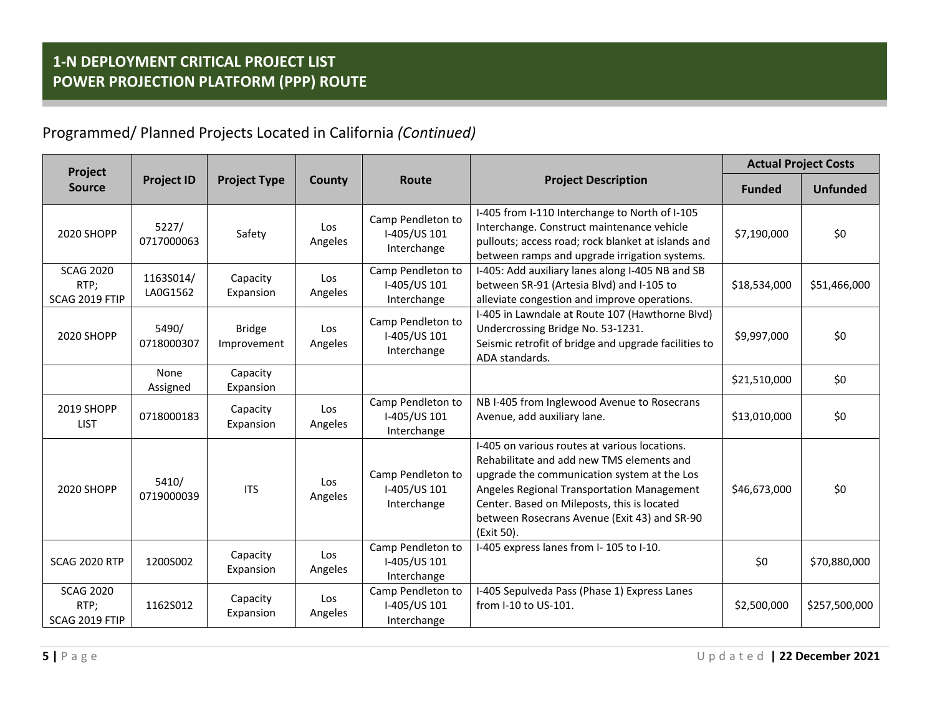| Project                                    |                       |                              |                |                                                  |                                                                                                                                                                                                                                                                                                      | <b>Actual Project Costs</b> |                 |
|--------------------------------------------|-----------------------|------------------------------|----------------|--------------------------------------------------|------------------------------------------------------------------------------------------------------------------------------------------------------------------------------------------------------------------------------------------------------------------------------------------------------|-----------------------------|-----------------|
| <b>Source</b>                              | <b>Project ID</b>     | <b>Project Type</b>          | County         | <b>Route</b>                                     | <b>Project Description</b>                                                                                                                                                                                                                                                                           | <b>Funded</b>               | <b>Unfunded</b> |
| 2020 SHOPP                                 | 5227/<br>0717000063   | Safety                       | Los<br>Angeles | Camp Pendleton to<br>I-405/US 101<br>Interchange | I-405 from I-110 Interchange to North of I-105<br>Interchange. Construct maintenance vehicle<br>pullouts; access road; rock blanket at islands and<br>between ramps and upgrade irrigation systems.                                                                                                  | \$7,190,000                 | \$0             |
| <b>SCAG 2020</b><br>RTP;<br>SCAG 2019 FTIP | 1163S014/<br>LA0G1562 | Capacity<br>Expansion        | Los<br>Angeles | Camp Pendleton to<br>I-405/US 101<br>Interchange | I-405: Add auxiliary lanes along I-405 NB and SB<br>between SR-91 (Artesia Blvd) and I-105 to<br>alleviate congestion and improve operations.                                                                                                                                                        |                             | \$51,466,000    |
| 2020 SHOPP                                 | 5490/<br>0718000307   | <b>Bridge</b><br>Improvement | Los<br>Angeles | Camp Pendleton to<br>I-405/US 101<br>Interchange | I-405 in Lawndale at Route 107 (Hawthorne Blvd)<br>Undercrossing Bridge No. 53-1231.<br>Seismic retrofit of bridge and upgrade facilities to<br>ADA standards.                                                                                                                                       | \$9,997,000                 | \$0             |
|                                            | None<br>Assigned      | Capacity<br>Expansion        |                |                                                  |                                                                                                                                                                                                                                                                                                      | \$21,510,000                | \$0             |
| 2019 SHOPP<br><b>LIST</b>                  | 0718000183            | Capacity<br>Expansion        | Los<br>Angeles | Camp Pendleton to<br>I-405/US 101<br>Interchange | NB I-405 from Inglewood Avenue to Rosecrans<br>Avenue, add auxiliary lane.                                                                                                                                                                                                                           | \$13,010,000                | \$0             |
| 2020 SHOPP                                 | 5410/<br>0719000039   | <b>ITS</b>                   | Los<br>Angeles | Camp Pendleton to<br>I-405/US 101<br>Interchange | I-405 on various routes at various locations.<br>Rehabilitate and add new TMS elements and<br>upgrade the communication system at the Los<br>Angeles Regional Transportation Management<br>Center. Based on Mileposts, this is located<br>between Rosecrans Avenue (Exit 43) and SR-90<br>(Exit 50). | \$46,673,000                | \$0             |
| <b>SCAG 2020 RTP</b>                       | 1200S002              | Capacity<br>Expansion        | Los<br>Angeles | Camp Pendleton to<br>I-405/US 101<br>Interchange | I-405 express lanes from I-105 to I-10.                                                                                                                                                                                                                                                              | \$0                         | \$70,880,000    |
| <b>SCAG 2020</b><br>RTP;<br>SCAG 2019 FTIP | 1162S012              | Capacity<br>Expansion        | Los<br>Angeles | Camp Pendleton to<br>I-405/US 101<br>Interchange | I-405 Sepulveda Pass (Phase 1) Express Lanes<br>from I-10 to US-101.                                                                                                                                                                                                                                 | \$2,500,000                 | \$257,500,000   |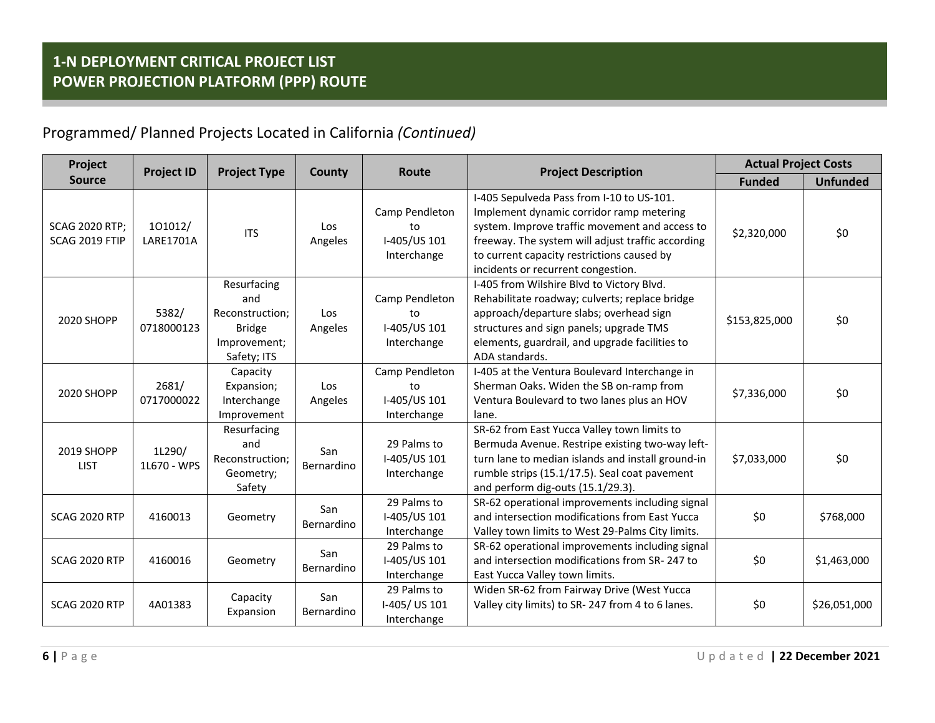| Project                                 | <b>Project ID</b><br><b>Project Type</b> |                                                                                       | <b>County</b>     | <b>Project Description</b><br>Route                 |                                                                                                                                                                                                                                                                                  | <b>Actual Project Costs</b> |                 |
|-----------------------------------------|------------------------------------------|---------------------------------------------------------------------------------------|-------------------|-----------------------------------------------------|----------------------------------------------------------------------------------------------------------------------------------------------------------------------------------------------------------------------------------------------------------------------------------|-----------------------------|-----------------|
| <b>Source</b>                           |                                          |                                                                                       |                   |                                                     |                                                                                                                                                                                                                                                                                  | <b>Funded</b>               | <b>Unfunded</b> |
| <b>SCAG 2020 RTP;</b><br>SCAG 2019 FTIP | 101012/<br><b>LARE1701A</b>              | <b>ITS</b>                                                                            | Los<br>Angeles    | Camp Pendleton<br>to<br>I-405/US 101<br>Interchange | I-405 Sepulveda Pass from I-10 to US-101.<br>Implement dynamic corridor ramp metering<br>system. Improve traffic movement and access to<br>freeway. The system will adjust traffic according<br>to current capacity restrictions caused by<br>incidents or recurrent congestion. | \$2,320,000                 | \$0             |
| 2020 SHOPP                              | 5382/<br>0718000123                      | Resurfacing<br>and<br>Reconstruction;<br><b>Bridge</b><br>Improvement;<br>Safety; ITS | Los<br>Angeles    | Camp Pendleton<br>to<br>I-405/US 101<br>Interchange | I-405 from Wilshire Blvd to Victory Blvd.<br>Rehabilitate roadway; culverts; replace bridge<br>approach/departure slabs; overhead sign<br>structures and sign panels; upgrade TMS<br>elements, guardrail, and upgrade facilities to<br>ADA standards.                            | \$153,825,000               | \$0             |
| 2020 SHOPP                              | 2681/<br>0717000022                      | Capacity<br>Expansion;<br>Interchange<br>Improvement                                  | Los<br>Angeles    | Camp Pendleton<br>to<br>I-405/US 101<br>Interchange | I-405 at the Ventura Boulevard Interchange in<br>Sherman Oaks. Widen the SB on-ramp from<br>Ventura Boulevard to two lanes plus an HOV<br>lane.                                                                                                                                  | \$7,336,000                 | \$0             |
| 2019 SHOPP<br><b>LIST</b>               | 1L290/<br>1L670 - WPS                    | Resurfacing<br>and<br>Reconstruction:<br>Geometry;<br>Safety                          | San<br>Bernardino | 29 Palms to<br>I-405/US 101<br>Interchange          | SR-62 from East Yucca Valley town limits to<br>Bermuda Avenue. Restripe existing two-way left-<br>turn lane to median islands and install ground-in<br>rumble strips (15.1/17.5). Seal coat pavement<br>and perform dig-outs (15.1/29.3).                                        | \$7,033,000                 | \$0             |
| SCAG 2020 RTP                           | 4160013                                  | Geometry                                                                              | San<br>Bernardino | 29 Palms to<br>I-405/US 101<br>Interchange          | SR-62 operational improvements including signal<br>and intersection modifications from East Yucca<br>Valley town limits to West 29-Palms City limits.                                                                                                                            | \$0                         | \$768,000       |
| <b>SCAG 2020 RTP</b>                    | 4160016                                  | Geometry                                                                              | San<br>Bernardino | 29 Palms to<br>I-405/US 101<br>Interchange          | SR-62 operational improvements including signal<br>and intersection modifications from SR-247 to<br>East Yucca Valley town limits.                                                                                                                                               | \$0                         | \$1,463,000     |
| <b>SCAG 2020 RTP</b>                    | 4A01383                                  | Capacity<br>Expansion                                                                 | San<br>Bernardino | 29 Palms to<br>I-405/US 101<br>Interchange          | Widen SR-62 from Fairway Drive (West Yucca<br>Valley city limits) to SR-247 from 4 to 6 lanes.                                                                                                                                                                                   | \$0                         | \$26,051,000    |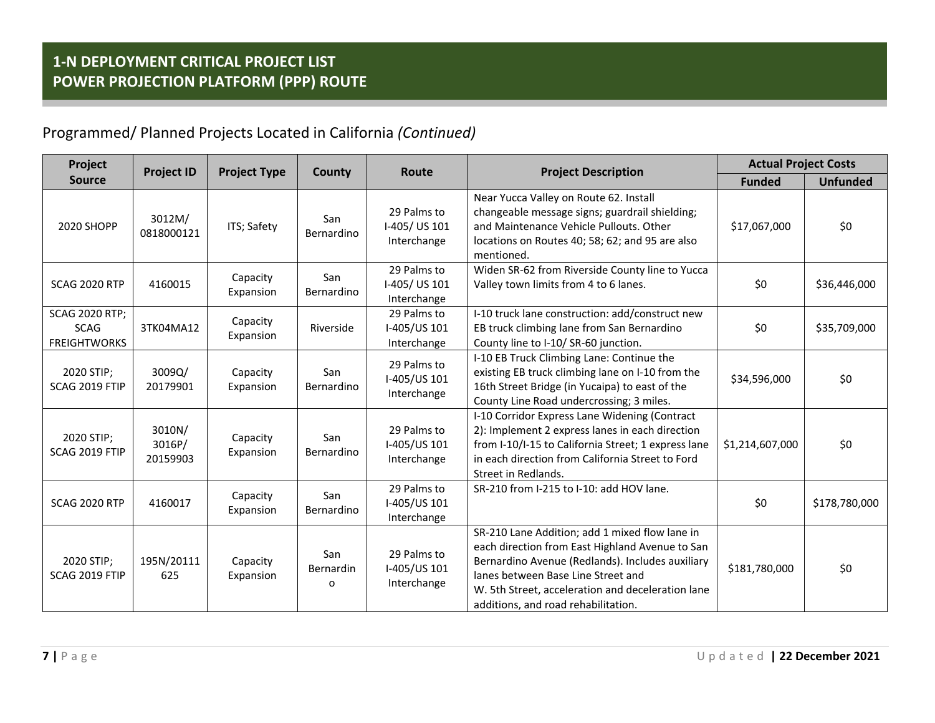| Project                                                     | <b>Project ID</b><br><b>Project Type</b> |                       | County                | Route                                      | <b>Project Description</b>                                                                                                                                                                                                                                                              | <b>Actual Project Costs</b> |                 |
|-------------------------------------------------------------|------------------------------------------|-----------------------|-----------------------|--------------------------------------------|-----------------------------------------------------------------------------------------------------------------------------------------------------------------------------------------------------------------------------------------------------------------------------------------|-----------------------------|-----------------|
| <b>Source</b>                                               |                                          |                       |                       |                                            |                                                                                                                                                                                                                                                                                         | <b>Funded</b>               | <b>Unfunded</b> |
| 2020 SHOPP                                                  | 3012M/<br>0818000121                     | ITS; Safety           | San<br>Bernardino     | 29 Palms to<br>I-405/US 101<br>Interchange | Near Yucca Valley on Route 62. Install<br>changeable message signs; guardrail shielding;<br>and Maintenance Vehicle Pullouts. Other<br>locations on Routes 40; 58; 62; and 95 are also<br>mentioned.                                                                                    | \$17,067,000                | \$0             |
| <b>SCAG 2020 RTP</b>                                        | 4160015                                  | Capacity<br>Expansion | San<br>Bernardino     | 29 Palms to<br>I-405/US 101<br>Interchange | Widen SR-62 from Riverside County line to Yucca<br>Valley town limits from 4 to 6 lanes.                                                                                                                                                                                                | \$0                         | \$36,446,000    |
| <b>SCAG 2020 RTP;</b><br><b>SCAG</b><br><b>FREIGHTWORKS</b> | 3TK04MA12                                | Capacity<br>Expansion | Riverside             | 29 Palms to<br>I-405/US 101<br>Interchange | I-10 truck lane construction: add/construct new<br>EB truck climbing lane from San Bernardino<br>County line to I-10/ SR-60 junction.                                                                                                                                                   | \$0                         | \$35,709,000    |
| 2020 STIP;<br>SCAG 2019 FTIP                                | 3009Q/<br>20179901                       | Capacity<br>Expansion | San<br>Bernardino     | 29 Palms to<br>I-405/US 101<br>Interchange | I-10 EB Truck Climbing Lane: Continue the<br>existing EB truck climbing lane on I-10 from the<br>16th Street Bridge (in Yucaipa) to east of the<br>County Line Road undercrossing; 3 miles.                                                                                             | \$34,596,000                | \$0             |
| 2020 STIP;<br>SCAG 2019 FTIP                                | 3010N/<br>3016P/<br>20159903             | Capacity<br>Expansion | San<br>Bernardino     | 29 Palms to<br>I-405/US 101<br>Interchange | I-10 Corridor Express Lane Widening (Contract<br>2): Implement 2 express lanes in each direction<br>from I-10/I-15 to California Street; 1 express lane<br>in each direction from California Street to Ford<br>Street in Redlands.                                                      | \$1,214,607,000             | \$0             |
| <b>SCAG 2020 RTP</b>                                        | 4160017                                  | Capacity<br>Expansion | San<br>Bernardino     | 29 Palms to<br>I-405/US 101<br>Interchange | SR-210 from I-215 to I-10: add HOV lane.                                                                                                                                                                                                                                                | \$0                         | \$178,780,000   |
| 2020 STIP;<br>SCAG 2019 FTIP                                | 195N/20111<br>625                        | Capacity<br>Expansion | San<br>Bernardin<br>o | 29 Palms to<br>I-405/US 101<br>Interchange | SR-210 Lane Addition; add 1 mixed flow lane in<br>each direction from East Highland Avenue to San<br>Bernardino Avenue (Redlands). Includes auxiliary<br>lanes between Base Line Street and<br>W. 5th Street, acceleration and deceleration lane<br>additions, and road rehabilitation. | \$181,780,000               | \$0             |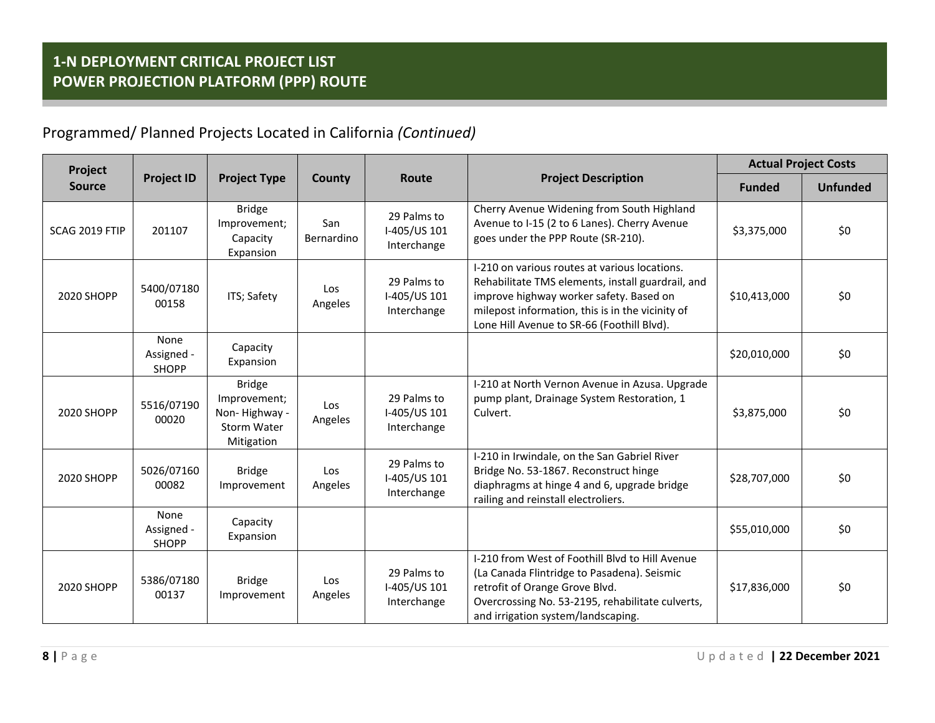| Project           |                                    |                                                                             |                   |                                            |                                                                                                                                                                                                                                                 | <b>Actual Project Costs</b> |                 |
|-------------------|------------------------------------|-----------------------------------------------------------------------------|-------------------|--------------------------------------------|-------------------------------------------------------------------------------------------------------------------------------------------------------------------------------------------------------------------------------------------------|-----------------------------|-----------------|
| <b>Source</b>     | <b>Project ID</b>                  | <b>Project Type</b>                                                         | County            | Route                                      | <b>Project Description</b>                                                                                                                                                                                                                      | <b>Funded</b>               | <b>Unfunded</b> |
| SCAG 2019 FTIP    | 201107                             | <b>Bridge</b><br>Improvement;<br>Capacity<br>Expansion                      | San<br>Bernardino | 29 Palms to<br>I-405/US 101<br>Interchange | Cherry Avenue Widening from South Highland<br>Avenue to I-15 (2 to 6 Lanes). Cherry Avenue<br>goes under the PPP Route (SR-210).                                                                                                                | \$3,375,000                 | \$0             |
| 2020 SHOPP        | 5400/07180<br>00158                | ITS; Safety                                                                 | Los<br>Angeles    | 29 Palms to<br>I-405/US 101<br>Interchange | I-210 on various routes at various locations.<br>Rehabilitate TMS elements, install guardrail, and<br>improve highway worker safety. Based on<br>milepost information, this is in the vicinity of<br>Lone Hill Avenue to SR-66 (Foothill Blvd). | \$10,413,000                | \$0             |
|                   | None<br>Assigned -<br><b>SHOPP</b> | Capacity<br>Expansion                                                       |                   |                                            |                                                                                                                                                                                                                                                 | \$20,010,000                | \$0             |
| <b>2020 SHOPP</b> | 5516/07190<br>00020                | <b>Bridge</b><br>Improvement;<br>Non-Highway -<br>Storm Water<br>Mitigation | Los<br>Angeles    | 29 Palms to<br>I-405/US 101<br>Interchange | I-210 at North Vernon Avenue in Azusa. Upgrade<br>pump plant, Drainage System Restoration, 1<br>Culvert.                                                                                                                                        | \$3,875,000                 | \$0             |
| 2020 SHOPP        | 5026/07160<br>00082                | <b>Bridge</b><br>Improvement                                                | Los<br>Angeles    | 29 Palms to<br>I-405/US 101<br>Interchange | I-210 in Irwindale, on the San Gabriel River<br>Bridge No. 53-1867. Reconstruct hinge<br>diaphragms at hinge 4 and 6, upgrade bridge<br>railing and reinstall electroliers.                                                                     | \$28,707,000                | \$0             |
|                   | None<br>Assigned -<br><b>SHOPP</b> | Capacity<br>Expansion                                                       |                   |                                            |                                                                                                                                                                                                                                                 | \$55,010,000                | \$0             |
| 2020 SHOPP        | 5386/07180<br>00137                | <b>Bridge</b><br>Improvement                                                | Los<br>Angeles    | 29 Palms to<br>I-405/US 101<br>Interchange | I-210 from West of Foothill Blvd to Hill Avenue<br>(La Canada Flintridge to Pasadena). Seismic<br>retrofit of Orange Grove Blvd.<br>Overcrossing No. 53-2195, rehabilitate culverts,<br>and irrigation system/landscaping.                      | \$17,836,000                | \$0             |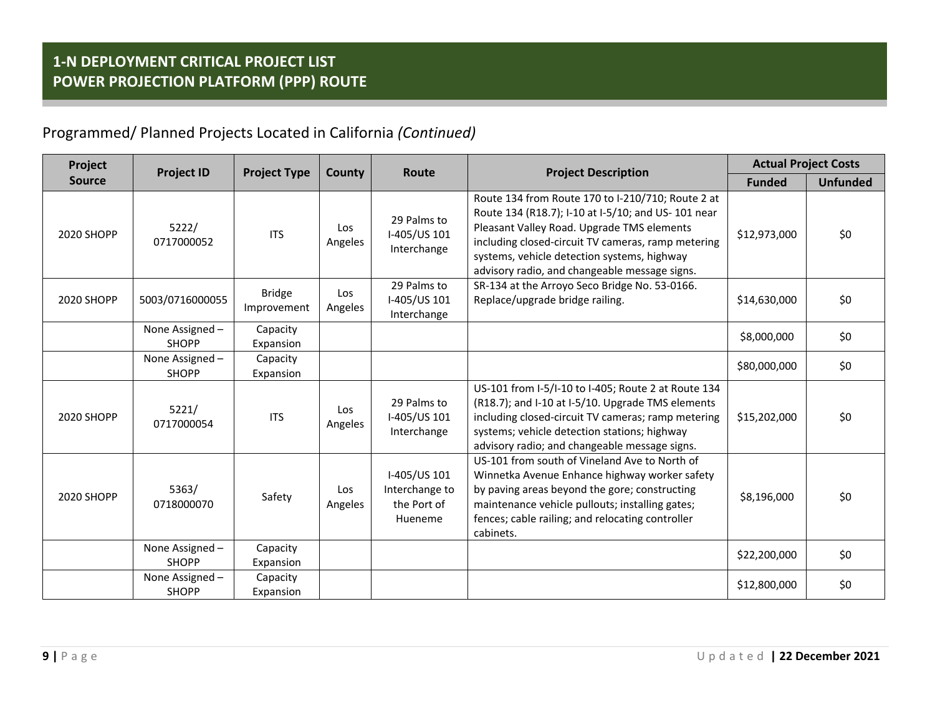| Project       | <b>Project ID</b>               |                              |                | Route                                                    | <b>Project Description</b>                                                                                                                                                                                                                                                                                  | <b>Actual Project Costs</b> |                 |
|---------------|---------------------------------|------------------------------|----------------|----------------------------------------------------------|-------------------------------------------------------------------------------------------------------------------------------------------------------------------------------------------------------------------------------------------------------------------------------------------------------------|-----------------------------|-----------------|
| <b>Source</b> |                                 | <b>Project Type</b>          | County         |                                                          |                                                                                                                                                                                                                                                                                                             | <b>Funded</b>               | <b>Unfunded</b> |
| 2020 SHOPP    | 5222/<br>0717000052             | <b>ITS</b>                   | Los<br>Angeles | 29 Palms to<br>I-405/US 101<br>Interchange               | Route 134 from Route 170 to I-210/710; Route 2 at<br>Route 134 (R18.7); I-10 at I-5/10; and US-101 near<br>Pleasant Valley Road. Upgrade TMS elements<br>including closed-circuit TV cameras, ramp metering<br>systems, vehicle detection systems, highway<br>advisory radio, and changeable message signs. | \$12,973,000                | \$0             |
| 2020 SHOPP    | 5003/0716000055                 | <b>Bridge</b><br>Improvement | Los<br>Angeles | 29 Palms to<br>I-405/US 101<br>Interchange               | SR-134 at the Arroyo Seco Bridge No. 53-0166.<br>Replace/upgrade bridge railing.                                                                                                                                                                                                                            | \$14,630,000                | \$0             |
|               | None Assigned-<br><b>SHOPP</b>  | Capacity<br>Expansion        |                |                                                          |                                                                                                                                                                                                                                                                                                             | \$8,000,000                 | \$0             |
|               | None Assigned -<br><b>SHOPP</b> | Capacity<br>Expansion        |                |                                                          |                                                                                                                                                                                                                                                                                                             | \$80,000,000                | \$0             |
| 2020 SHOPP    | 5221/<br>0717000054             | <b>ITS</b>                   | Los<br>Angeles | 29 Palms to<br>I-405/US 101<br>Interchange               | US-101 from I-5/I-10 to I-405; Route 2 at Route 134<br>(R18.7); and I-10 at I-5/10. Upgrade TMS elements<br>including closed-circuit TV cameras; ramp metering<br>systems; vehicle detection stations; highway<br>advisory radio; and changeable message signs.                                             | \$15,202,000                | \$0             |
| 2020 SHOPP    | 5363/<br>0718000070             | Safety                       | Los<br>Angeles | I-405/US 101<br>Interchange to<br>the Port of<br>Hueneme | US-101 from south of Vineland Ave to North of<br>Winnetka Avenue Enhance highway worker safety<br>by paving areas beyond the gore; constructing<br>maintenance vehicle pullouts; installing gates;<br>fences; cable railing; and relocating controller<br>cabinets.                                         | \$8,196,000                 | \$0             |
|               | None Assigned -<br><b>SHOPP</b> | Capacity<br>Expansion        |                |                                                          |                                                                                                                                                                                                                                                                                                             | \$22,200,000                | \$0             |
|               | None Assigned -<br><b>SHOPP</b> | Capacity<br>Expansion        |                |                                                          |                                                                                                                                                                                                                                                                                                             | \$12,800,000                | \$0             |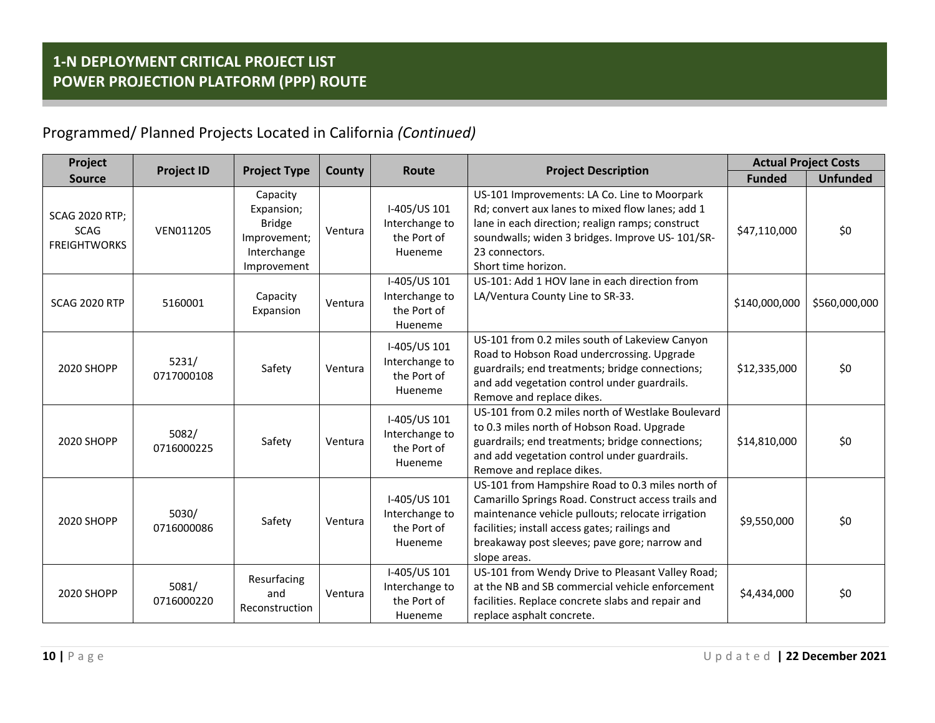| Project                                                     | <b>Project ID</b>   | <b>Project Type</b>                                                                   |         | Route                                                    |                                                                                                                                                                                                                                                                                 | <b>Actual Project Costs</b> |                 |
|-------------------------------------------------------------|---------------------|---------------------------------------------------------------------------------------|---------|----------------------------------------------------------|---------------------------------------------------------------------------------------------------------------------------------------------------------------------------------------------------------------------------------------------------------------------------------|-----------------------------|-----------------|
| <b>Source</b>                                               |                     |                                                                                       | County  |                                                          | <b>Project Description</b>                                                                                                                                                                                                                                                      | <b>Funded</b>               | <b>Unfunded</b> |
| <b>SCAG 2020 RTP;</b><br><b>SCAG</b><br><b>FREIGHTWORKS</b> | VEN011205           | Capacity<br>Expansion;<br><b>Bridge</b><br>Improvement;<br>Interchange<br>Improvement | Ventura | I-405/US 101<br>Interchange to<br>the Port of<br>Hueneme | US-101 Improvements: LA Co. Line to Moorpark<br>Rd; convert aux lanes to mixed flow lanes; add 1<br>lane in each direction; realign ramps; construct<br>soundwalls; widen 3 bridges. Improve US- 101/SR-<br>23 connectors.<br>Short time horizon.                               | \$47,110,000                | \$0             |
| <b>SCAG 2020 RTP</b>                                        | 5160001             | Capacity<br>Expansion                                                                 | Ventura | I-405/US 101<br>Interchange to<br>the Port of<br>Hueneme | US-101: Add 1 HOV lane in each direction from<br>LA/Ventura County Line to SR-33.                                                                                                                                                                                               | \$140,000,000               | \$560,000,000   |
| <b>2020 SHOPP</b>                                           | 5231/<br>0717000108 | Safety                                                                                | Ventura | I-405/US 101<br>Interchange to<br>the Port of<br>Hueneme | US-101 from 0.2 miles south of Lakeview Canyon<br>Road to Hobson Road undercrossing. Upgrade<br>guardrails; end treatments; bridge connections;<br>and add vegetation control under guardrails.<br>Remove and replace dikes.                                                    | \$12,335,000                | \$0             |
| 2020 SHOPP                                                  | 5082/<br>0716000225 | Safety                                                                                | Ventura | I-405/US 101<br>Interchange to<br>the Port of<br>Hueneme | US-101 from 0.2 miles north of Westlake Boulevard<br>to 0.3 miles north of Hobson Road. Upgrade<br>guardrails; end treatments; bridge connections;<br>and add vegetation control under guardrails.<br>Remove and replace dikes.                                                 | \$14,810,000                | \$0             |
| <b>2020 SHOPP</b>                                           | 5030/<br>0716000086 | Safety                                                                                | Ventura | I-405/US 101<br>Interchange to<br>the Port of<br>Hueneme | US-101 from Hampshire Road to 0.3 miles north of<br>Camarillo Springs Road. Construct access trails and<br>maintenance vehicle pullouts; relocate irrigation<br>facilities; install access gates; railings and<br>breakaway post sleeves; pave gore; narrow and<br>slope areas. | \$9,550,000                 | \$0             |
| 2020 SHOPP                                                  | 5081/<br>0716000220 | Resurfacing<br>and<br>Reconstruction                                                  | Ventura | I-405/US 101<br>Interchange to<br>the Port of<br>Hueneme | US-101 from Wendy Drive to Pleasant Valley Road;<br>at the NB and SB commercial vehicle enforcement<br>facilities. Replace concrete slabs and repair and<br>replace asphalt concrete.                                                                                           | \$4,434,000                 | \$0             |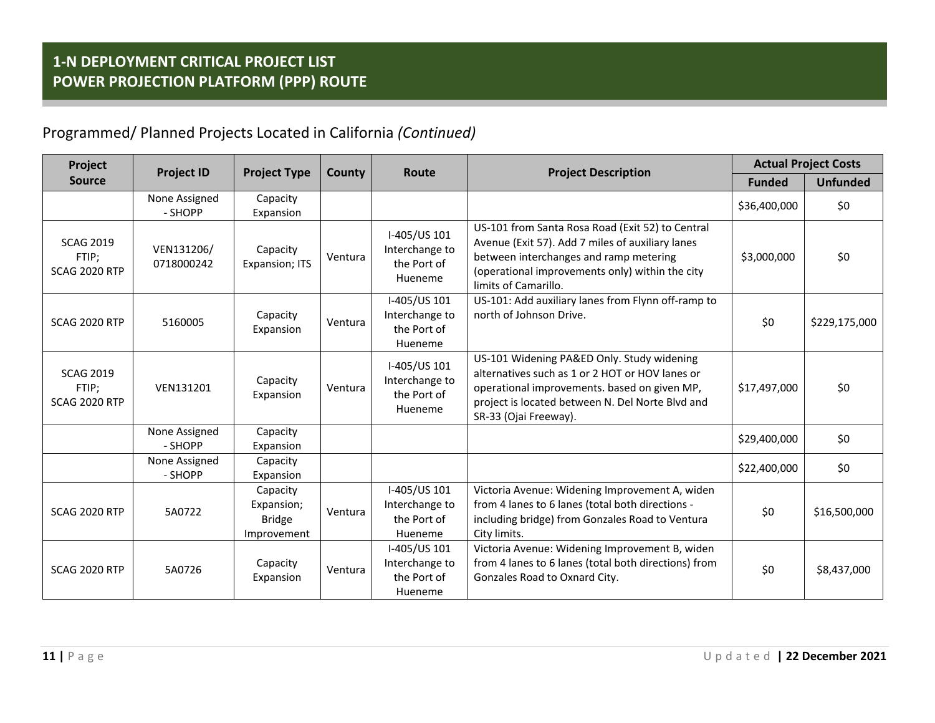| Project<br><b>Project ID</b>                      |                          | <b>Project Type</b>                                    | County  | <b>Route</b>                                             |                                                                                                                                                                                                                            |               | <b>Actual Project Costs</b> |  |
|---------------------------------------------------|--------------------------|--------------------------------------------------------|---------|----------------------------------------------------------|----------------------------------------------------------------------------------------------------------------------------------------------------------------------------------------------------------------------------|---------------|-----------------------------|--|
| <b>Source</b>                                     |                          |                                                        |         |                                                          | <b>Project Description</b>                                                                                                                                                                                                 | <b>Funded</b> | <b>Unfunded</b>             |  |
|                                                   | None Assigned<br>- SHOPP | Capacity<br>Expansion                                  |         |                                                          |                                                                                                                                                                                                                            | \$36,400,000  | \$0                         |  |
| <b>SCAG 2019</b><br>FTIP;<br><b>SCAG 2020 RTP</b> | VEN131206/<br>0718000242 | Capacity<br>Expansion; ITS                             | Ventura | I-405/US 101<br>Interchange to<br>the Port of<br>Hueneme | US-101 from Santa Rosa Road (Exit 52) to Central<br>Avenue (Exit 57). Add 7 miles of auxiliary lanes<br>between interchanges and ramp metering<br>(operational improvements only) within the city<br>limits of Camarillo.  | \$3,000,000   | \$0                         |  |
| <b>SCAG 2020 RTP</b>                              | 5160005                  | Capacity<br>Expansion                                  | Ventura | I-405/US 101<br>Interchange to<br>the Port of<br>Hueneme | US-101: Add auxiliary lanes from Flynn off-ramp to<br>north of Johnson Drive.                                                                                                                                              | \$0           | \$229,175,000               |  |
| <b>SCAG 2019</b><br>FTIP;<br><b>SCAG 2020 RTP</b> | VEN131201                | Capacity<br>Expansion                                  | Ventura | I-405/US 101<br>Interchange to<br>the Port of<br>Hueneme | US-101 Widening PA&ED Only. Study widening<br>alternatives such as 1 or 2 HOT or HOV lanes or<br>operational improvements. based on given MP,<br>project is located between N. Del Norte Blvd and<br>SR-33 (Ojai Freeway). | \$17,497,000  | \$0                         |  |
|                                                   | None Assigned<br>- SHOPP | Capacity<br>Expansion                                  |         |                                                          |                                                                                                                                                                                                                            | \$29,400,000  | \$0\$                       |  |
|                                                   | None Assigned<br>- SHOPP | Capacity<br>Expansion                                  |         |                                                          |                                                                                                                                                                                                                            | \$22,400,000  | \$0                         |  |
| <b>SCAG 2020 RTP</b>                              | 5A0722                   | Capacity<br>Expansion;<br><b>Bridge</b><br>Improvement | Ventura | I-405/US 101<br>Interchange to<br>the Port of<br>Hueneme | Victoria Avenue: Widening Improvement A, widen<br>from 4 lanes to 6 lanes (total both directions -<br>including bridge) from Gonzales Road to Ventura<br>City limits.                                                      | \$0           | \$16,500,000                |  |
| <b>SCAG 2020 RTP</b>                              | 5A0726                   | Capacity<br>Expansion                                  | Ventura | I-405/US 101<br>Interchange to<br>the Port of<br>Hueneme | Victoria Avenue: Widening Improvement B, widen<br>from 4 lanes to 6 lanes (total both directions) from<br>Gonzales Road to Oxnard City.                                                                                    | \$0           | \$8,437,000                 |  |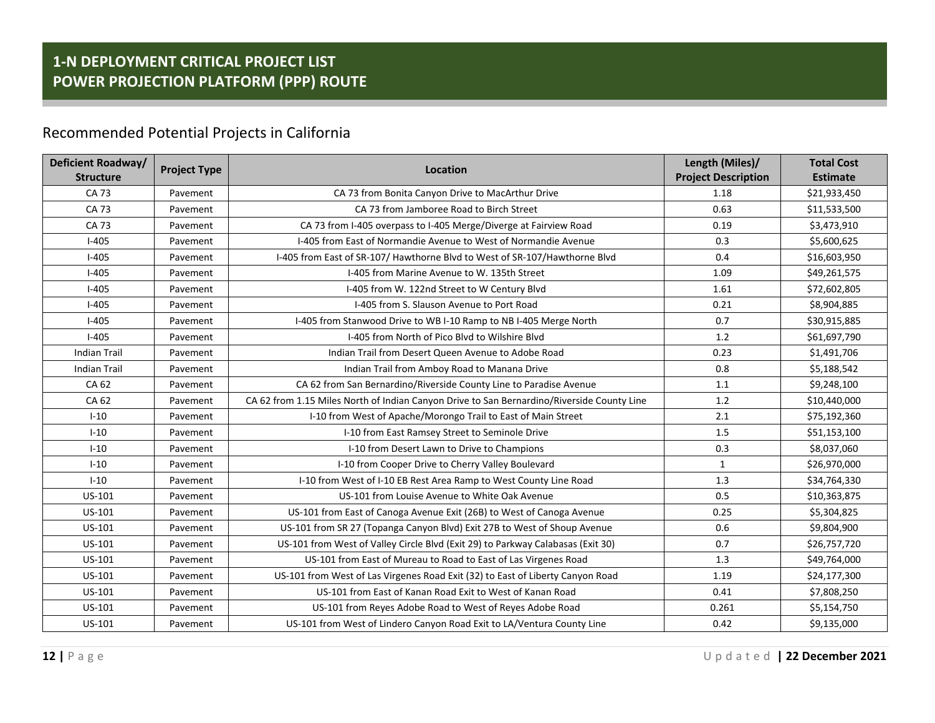#### Recommended Potential Projects in California

| Deficient Roadway/  | <b>Project Type</b> | Location                                                                                   | Length (Miles)/            | <b>Total Cost</b> |
|---------------------|---------------------|--------------------------------------------------------------------------------------------|----------------------------|-------------------|
| <b>Structure</b>    |                     |                                                                                            | <b>Project Description</b> | <b>Estimate</b>   |
| CA 73               | Pavement            | CA 73 from Bonita Canyon Drive to MacArthur Drive                                          | 1.18                       | \$21,933,450      |
| CA 73               | Pavement            | CA 73 from Jamboree Road to Birch Street                                                   | 0.63                       | \$11,533,500      |
| CA 73               | Pavement            | CA 73 from I-405 overpass to I-405 Merge/Diverge at Fairview Road                          | 0.19                       | \$3,473,910       |
| $I-405$             | Pavement            | I-405 from East of Normandie Avenue to West of Normandie Avenue                            | 0.3                        | \$5,600,625       |
| $I-405$             | Pavement            | I-405 from East of SR-107/ Hawthorne Blvd to West of SR-107/Hawthorne Blvd                 | 0.4                        | \$16,603,950      |
| $I-405$             | Pavement            | I-405 from Marine Avenue to W. 135th Street                                                | 1.09                       | \$49,261,575      |
| $I-405$             | Pavement            | I-405 from W. 122nd Street to W Century Blvd                                               | 1.61                       | \$72,602,805      |
| $I-405$             | Pavement            | I-405 from S. Slauson Avenue to Port Road                                                  | 0.21                       | \$8,904,885       |
| $I-405$             | Pavement            | I-405 from Stanwood Drive to WB I-10 Ramp to NB I-405 Merge North                          | 0.7                        | \$30,915,885      |
| $I-405$             | Pavement            | I-405 from North of Pico Blyd to Wilshire Blyd                                             | 1.2                        | \$61,697,790      |
| <b>Indian Trail</b> | Pavement            | Indian Trail from Desert Queen Avenue to Adobe Road                                        | 0.23                       | \$1,491,706       |
| <b>Indian Trail</b> | Pavement            | Indian Trail from Amboy Road to Manana Drive                                               | 0.8                        | \$5,188,542       |
| CA 62               | Pavement            | CA 62 from San Bernardino/Riverside County Line to Paradise Avenue                         | 1.1                        | \$9,248,100       |
| CA 62               | Pavement            | CA 62 from 1.15 Miles North of Indian Canyon Drive to San Bernardino/Riverside County Line | 1.2                        | \$10,440,000      |
| $I-10$              | Pavement            | I-10 from West of Apache/Morongo Trail to East of Main Street                              | 2.1                        | \$75,192,360      |
| $I-10$              | Pavement            | I-10 from East Ramsey Street to Seminole Drive                                             | 1.5                        | \$51,153,100      |
| $I-10$              | Pavement            | I-10 from Desert Lawn to Drive to Champions                                                | 0.3                        | \$8,037,060       |
| $I - 10$            | Pavement            | I-10 from Cooper Drive to Cherry Valley Boulevard                                          | $\mathbf{1}$               | \$26,970,000      |
| $I-10$              | Pavement            | I-10 from West of I-10 EB Rest Area Ramp to West County Line Road                          | 1.3                        | \$34,764,330      |
| US-101              | Pavement            | US-101 from Louise Avenue to White Oak Avenue                                              | 0.5                        | \$10,363,875      |
| US-101              | Pavement            | US-101 from East of Canoga Avenue Exit (26B) to West of Canoga Avenue                      | 0.25                       | \$5,304,825       |
| US-101              | Pavement            | US-101 from SR 27 (Topanga Canyon Blvd) Exit 27B to West of Shoup Avenue                   | 0.6                        | \$9,804,900       |
| US-101              | Pavement            | US-101 from West of Valley Circle Blvd (Exit 29) to Parkway Calabasas (Exit 30)            | 0.7                        | \$26,757,720      |
| US-101              | Pavement            | US-101 from East of Mureau to Road to East of Las Virgenes Road                            | 1.3                        | \$49,764,000      |
| US-101              | Pavement            | US-101 from West of Las Virgenes Road Exit (32) to East of Liberty Canyon Road             | 1.19                       | \$24,177,300      |
| US-101              | Pavement            | US-101 from East of Kanan Road Exit to West of Kanan Road                                  | 0.41                       | \$7,808,250       |
| US-101              | Pavement            | US-101 from Reyes Adobe Road to West of Reyes Adobe Road                                   | 0.261                      | \$5,154,750       |
| US-101              | Pavement            | US-101 from West of Lindero Canyon Road Exit to LA/Ventura County Line                     | 0.42                       | \$9,135,000       |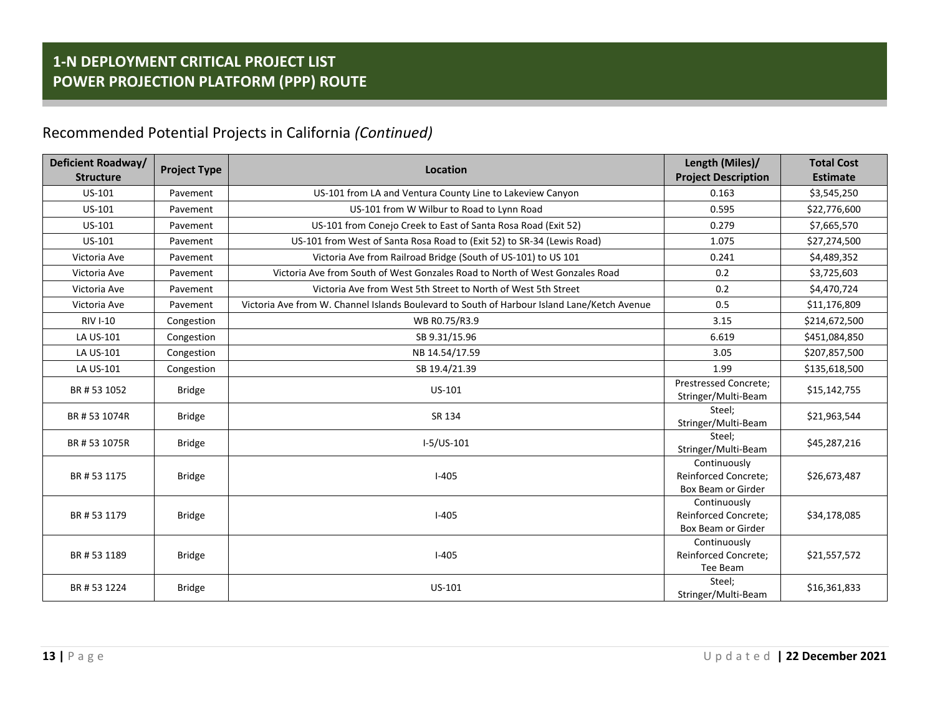| Deficient Roadway/<br><b>Structure</b> | <b>Project Type</b> | <b>Location</b>                                                                             | Length (Miles)/<br><b>Project Description</b>                     | <b>Total Cost</b><br><b>Estimate</b> |
|----------------------------------------|---------------------|---------------------------------------------------------------------------------------------|-------------------------------------------------------------------|--------------------------------------|
| US-101                                 | Pavement            | US-101 from LA and Ventura County Line to Lakeview Canyon                                   | 0.163                                                             | \$3,545,250                          |
| US-101                                 | Pavement            | US-101 from W Wilbur to Road to Lynn Road                                                   | 0.595                                                             | \$22,776,600                         |
| US-101                                 | Pavement            | US-101 from Conejo Creek to East of Santa Rosa Road (Exit 52)                               | 0.279                                                             | \$7,665,570                          |
| US-101                                 | Pavement            | US-101 from West of Santa Rosa Road to (Exit 52) to SR-34 (Lewis Road)                      | 1.075                                                             | \$27,274,500                         |
| Victoria Ave                           | Pavement            | Victoria Ave from Railroad Bridge (South of US-101) to US 101                               | 0.241                                                             | \$4,489,352                          |
| Victoria Ave                           | Pavement            | Victoria Ave from South of West Gonzales Road to North of West Gonzales Road                | 0.2                                                               | \$3,725,603                          |
| Victoria Ave                           | Pavement            | Victoria Ave from West 5th Street to North of West 5th Street                               | 0.2                                                               | \$4,470,724                          |
| Victoria Ave                           | Pavement            | Victoria Ave from W. Channel Islands Boulevard to South of Harbour Island Lane/Ketch Avenue | 0.5                                                               | \$11,176,809                         |
| <b>RIV I-10</b>                        | Congestion          | WB R0.75/R3.9                                                                               | 3.15                                                              | \$214,672,500                        |
| LA US-101                              | Congestion          | SB 9.31/15.96                                                                               | 6.619                                                             | \$451,084,850                        |
| LA US-101                              | Congestion          | NB 14.54/17.59                                                                              | 3.05                                                              | \$207,857,500                        |
| LA US-101                              | Congestion          | SB 19.4/21.39                                                                               | 1.99                                                              | \$135,618,500                        |
| BR#531052                              | <b>Bridge</b>       | US-101                                                                                      | <b>Prestressed Concrete:</b><br>Stringer/Multi-Beam               | \$15,142,755                         |
| BR #53 1074R                           | <b>Bridge</b>       | SR 134                                                                                      | Steel:<br>Stringer/Multi-Beam                                     | \$21,963,544                         |
| BR #53 1075R                           | <b>Bridge</b>       | $I-5/US-101$                                                                                | Steel;<br>Stringer/Multi-Beam                                     | \$45,287,216                         |
| BR#531175                              | <b>Bridge</b>       | $I - 405$                                                                                   | Continuously<br><b>Reinforced Concrete:</b><br>Box Beam or Girder | \$26,673,487                         |
| BR#531179                              | <b>Bridge</b>       | $I-405$                                                                                     | Continuously<br>Reinforced Concrete;<br>Box Beam or Girder        | \$34,178,085                         |
| BR #53 1189                            | <b>Bridge</b>       | $I-405$                                                                                     | Continuously<br><b>Reinforced Concrete:</b><br>Tee Beam           | \$21,557,572                         |
| BR#531224                              | <b>Bridge</b>       | US-101                                                                                      | Steel;<br>Stringer/Multi-Beam                                     | \$16,361,833                         |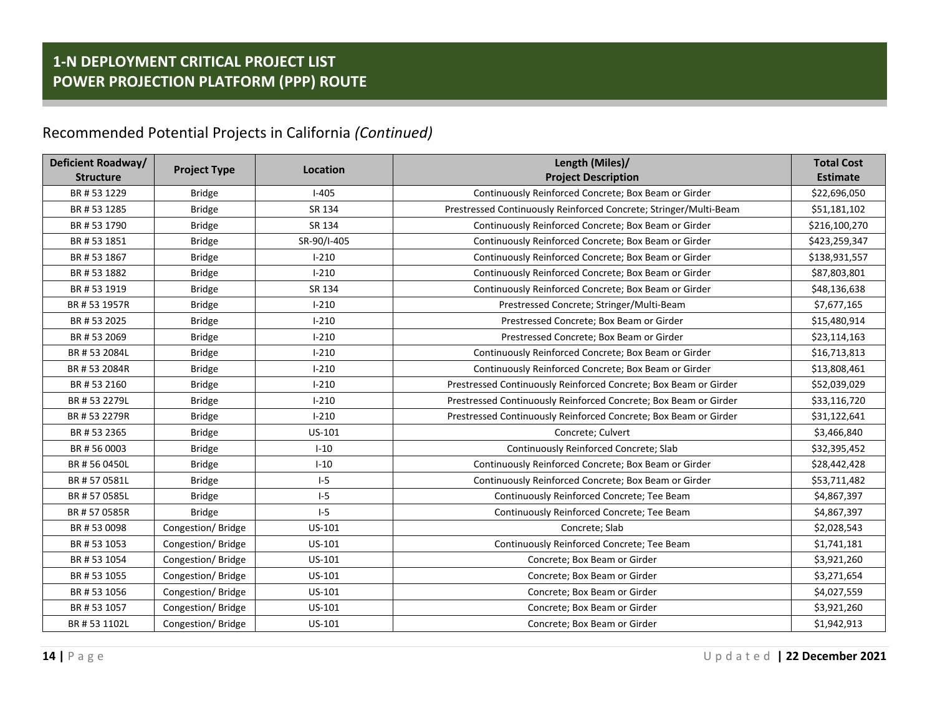| Deficient Roadway/<br><b>Structure</b> | <b>Project Type</b> | <b>Location</b> | Length (Miles)/<br><b>Project Description</b>                     | <b>Total Cost</b><br><b>Estimate</b> |
|----------------------------------------|---------------------|-----------------|-------------------------------------------------------------------|--------------------------------------|
| BR #53 1229                            | <b>Bridge</b>       | $I-405$         | Continuously Reinforced Concrete; Box Beam or Girder              | \$22,696,050                         |
| BR #53 1285                            | <b>Bridge</b>       | SR 134          | Prestressed Continuously Reinforced Concrete; Stringer/Multi-Beam | \$51,181,102                         |
| BR#531790                              | <b>Bridge</b>       | SR 134          | Continuously Reinforced Concrete; Box Beam or Girder              | \$216,100,270                        |
| BR #53 1851                            | <b>Bridge</b>       | SR-90/I-405     | Continuously Reinforced Concrete; Box Beam or Girder              | \$423,259,347                        |
| BR #53 1867                            | <b>Bridge</b>       | $I - 210$       | Continuously Reinforced Concrete; Box Beam or Girder              | \$138,931,557                        |
| BR #53 1882                            | <b>Bridge</b>       | $I - 210$       | Continuously Reinforced Concrete; Box Beam or Girder              | \$87,803,801                         |
| BR#531919                              | <b>Bridge</b>       | SR 134          | Continuously Reinforced Concrete; Box Beam or Girder              | \$48,136,638                         |
| BR #53 1957R                           | <b>Bridge</b>       | $I - 210$       | Prestressed Concrete; Stringer/Multi-Beam                         | \$7,677,165                          |
| BR #53 2025                            | <b>Bridge</b>       | $I - 210$       | Prestressed Concrete; Box Beam or Girder                          | \$15,480,914                         |
| BR #53 2069                            | <b>Bridge</b>       | $I - 210$       | Prestressed Concrete; Box Beam or Girder                          | \$23,114,163                         |
| BR #53 2084L                           | <b>Bridge</b>       | $I - 210$       | Continuously Reinforced Concrete; Box Beam or Girder              | \$16,713,813                         |
| BR #53 2084R                           | <b>Bridge</b>       | $I-210$         | Continuously Reinforced Concrete; Box Beam or Girder              | \$13,808,461                         |
| BR#532160                              | <b>Bridge</b>       | $I - 210$       | Prestressed Continuously Reinforced Concrete; Box Beam or Girder  | \$52,039,029                         |
| BR #53 2279L                           | <b>Bridge</b>       | $I - 210$       | Prestressed Continuously Reinforced Concrete; Box Beam or Girder  | \$33,116,720                         |
| BR #53 2279R                           | <b>Bridge</b>       | $I - 210$       | Prestressed Continuously Reinforced Concrete; Box Beam or Girder  | \$31,122,641                         |
| BR #53 2365                            | <b>Bridge</b>       | US-101          | Concrete; Culvert                                                 | \$3,466,840                          |
| BR#560003                              | <b>Bridge</b>       | $I-10$          | Continuously Reinforced Concrete; Slab                            | \$32,395,452                         |
| BR #56 0450L                           | <b>Bridge</b>       | $I-10$          | Continuously Reinforced Concrete; Box Beam or Girder              | \$28,442,428                         |
| BR #570581L                            | <b>Bridge</b>       | $I-5$           | Continuously Reinforced Concrete; Box Beam or Girder              | \$53,711,482                         |
| BR #570585L                            | <b>Bridge</b>       | $I-5$           | Continuously Reinforced Concrete; Tee Beam                        | \$4,867,397                          |
| BR #570585R                            | <b>Bridge</b>       | $I-5$           | Continuously Reinforced Concrete; Tee Beam                        | \$4,867,397                          |
| BR #53 0098                            | Congestion/Bridge   | US-101          | Concrete; Slab                                                    | \$2,028,543                          |
| BR#531053                              | Congestion/Bridge   | US-101          | Continuously Reinforced Concrete; Tee Beam                        | \$1,741,181                          |
| BR #53 1054                            | Congestion/Bridge   | US-101          | Concrete; Box Beam or Girder                                      | \$3,921,260                          |
| BR #53 1055                            | Congestion/Bridge   | US-101          | Concrete; Box Beam or Girder                                      | \$3,271,654                          |
| BR #53 1056                            | Congestion/Bridge   | US-101          | Concrete; Box Beam or Girder                                      | \$4,027,559                          |
| BR#531057                              | Congestion/Bridge   | US-101          | Concrete; Box Beam or Girder                                      | \$3,921,260                          |
| BR #53 1102L                           | Congestion/Bridge   | US-101          | Concrete; Box Beam or Girder                                      | \$1,942,913                          |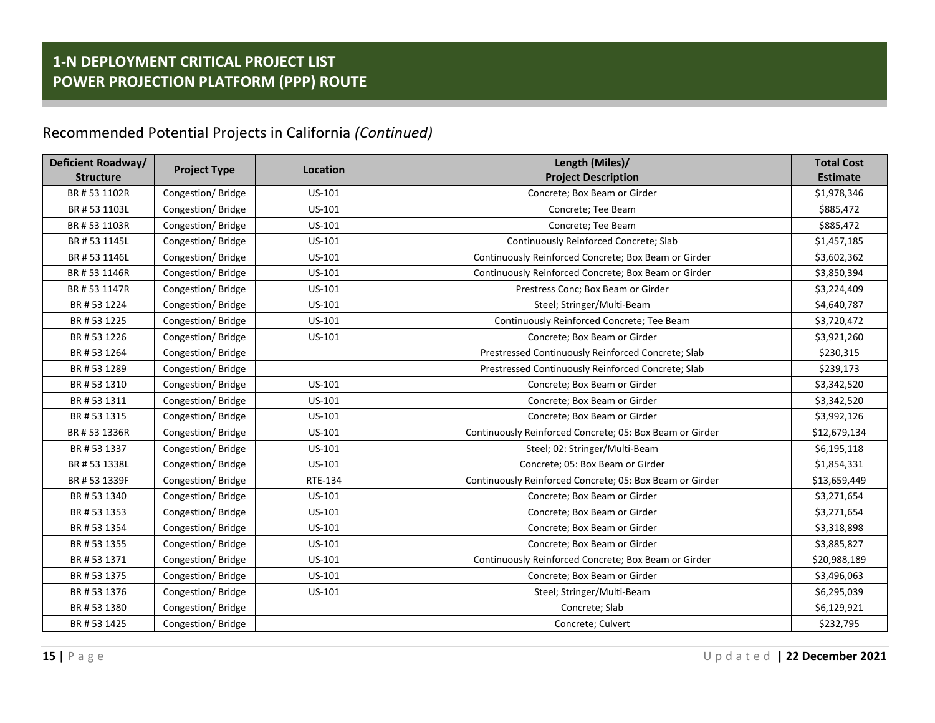| Deficient Roadway/ | <b>Project Type</b> | Location       | Length (Miles)/                                          | <b>Total Cost</b> |
|--------------------|---------------------|----------------|----------------------------------------------------------|-------------------|
| <b>Structure</b>   |                     |                | <b>Project Description</b>                               | <b>Estimate</b>   |
| BR #53 1102R       | Congestion/Bridge   | US-101         | Concrete; Box Beam or Girder                             | \$1,978,346       |
| BR #53 1103L       | Congestion/Bridge   | US-101         | Concrete; Tee Beam                                       | \$885,472         |
| BR #53 1103R       | Congestion/Bridge   | US-101         | Concrete; Tee Beam                                       | \$885,472         |
| BR #53 1145L       | Congestion/Bridge   | US-101         | Continuously Reinforced Concrete; Slab                   | \$1,457,185       |
| BR #53 1146L       | Congestion/Bridge   | US-101         | Continuously Reinforced Concrete; Box Beam or Girder     | \$3,602,362       |
| BR #53 1146R       | Congestion/Bridge   | US-101         | Continuously Reinforced Concrete; Box Beam or Girder     | \$3,850,394       |
| BR #53 1147R       | Congestion/Bridge   | US-101         | Prestress Conc; Box Beam or Girder                       | \$3,224,409       |
| BR #53 1224        | Congestion/Bridge   | US-101         | Steel; Stringer/Multi-Beam                               | \$4,640,787       |
| BR #53 1225        | Congestion/Bridge   | US-101         | Continuously Reinforced Concrete; Tee Beam               | \$3,720,472       |
| BR #53 1226        | Congestion/Bridge   | US-101         | Concrete; Box Beam or Girder                             | \$3,921,260       |
| BR#531264          | Congestion/Bridge   |                | Prestressed Continuously Reinforced Concrete; Slab       | \$230,315         |
| BR #53 1289        | Congestion/Bridge   |                | Prestressed Continuously Reinforced Concrete; Slab       | \$239,173         |
| BR #53 1310        | Congestion/Bridge   | US-101         | Concrete; Box Beam or Girder                             | \$3,342,520       |
| BR #53 1311        | Congestion/Bridge   | US-101         | Concrete; Box Beam or Girder                             | \$3,342,520       |
| BR#531315          | Congestion/Bridge   | US-101         | Concrete; Box Beam or Girder                             | \$3,992,126       |
| BR #53 1336R       | Congestion/Bridge   | US-101         | Continuously Reinforced Concrete; 05: Box Beam or Girder | \$12,679,134      |
| BR #53 1337        | Congestion/Bridge   | US-101         | Steel; 02: Stringer/Multi-Beam                           | \$6,195,118       |
| BR #53 1338L       | Congestion/Bridge   | US-101         | Concrete; 05: Box Beam or Girder                         | \$1,854,331       |
| BR #53 1339F       | Congestion/Bridge   | <b>RTE-134</b> | Continuously Reinforced Concrete; 05: Box Beam or Girder | \$13,659,449      |
| BR # 53 1340       | Congestion/Bridge   | US-101         | Concrete; Box Beam or Girder                             | \$3,271,654       |
| BR #53 1353        | Congestion/Bridge   | US-101         | Concrete; Box Beam or Girder                             | \$3,271,654       |
| BR #53 1354        | Congestion/Bridge   | US-101         | Concrete; Box Beam or Girder                             | \$3,318,898       |
| BR#531355          | Congestion/Bridge   | US-101         | Concrete; Box Beam or Girder                             | \$3,885,827       |
| BR#531371          | Congestion/Bridge   | US-101         | Continuously Reinforced Concrete; Box Beam or Girder     | \$20,988,189      |
| BR#531375          | Congestion/Bridge   | US-101         | Concrete; Box Beam or Girder                             | \$3,496,063       |
| BR#531376          | Congestion/Bridge   | US-101         | Steel; Stringer/Multi-Beam                               | \$6,295,039       |
| BR #53 1380        | Congestion/Bridge   |                | Concrete; Slab                                           | \$6,129,921       |
| BR #53 1425        | Congestion/Bridge   |                | Concrete; Culvert                                        | \$232,795         |